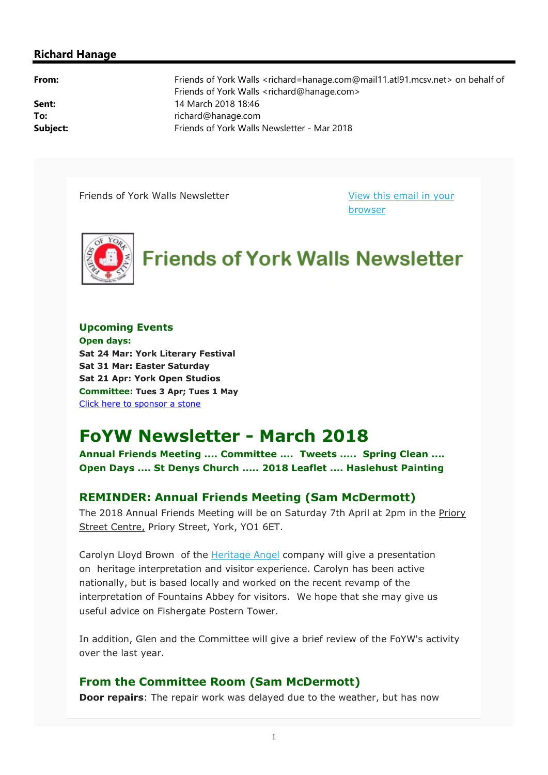### **Richard Hanage**

**From:** Friends of York Walls <richard=hanage.com@mail11.atl91.mcsv.net> on behalf of Friends of York Walls <richard@hanage.com> **Sent:** 14 March 2018 18:46 **To:** richard@hanage.com **Subject:** Friends of York Walls Newsletter - Mar 2018

Friends of York Walls Newsletter View this email in your

browser



### **Upcoming Events Open days: Sat 24 Mar: York Literary Festival Sat 31 Mar: Easter Saturday Sat 21 Apr: York Open Studios**

**Committee: Tues 3 Apr; Tues 1 May** Click here to sponsor a stone

# **FoYW Newsletter - March 2018**

**Annual Friends Meeting .... Committee .... Tweets ..... Spring Clean .... Open Days .... St Denys Church ..... 2018 Leaflet .... Haslehust Painting**

## **REMINDER: Annual Friends Meeting (Sam McDermott)**

The 2018 Annual Friends Meeting will be on Saturday 7th April at 2pm in the Priory Street Centre, Priory Street, York, YO1 6ET.

Carolyn Lloyd Brown of the **Heritage Angel** company will give a presentation on heritage interpretation and visitor experience. Carolyn has been active nationally, but is based locally and worked on the recent revamp of the interpretation of Fountains Abbey for visitors. We hope that she may give us useful advice on Fishergate Postern Tower.

In addition, Glen and the Committee will give a brief review of the FoYW's activity over the last year.

## **From the Committee Room (Sam McDermott)**

**Door repairs**: The repair work was delayed due to the weather, but has now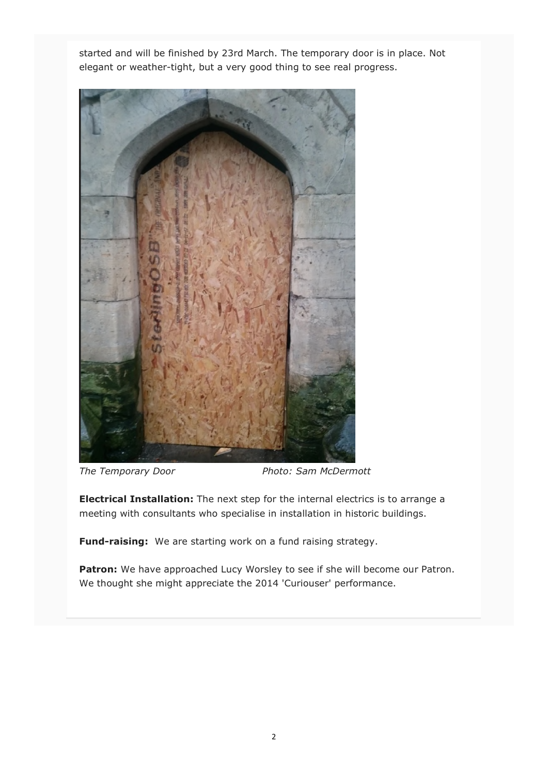started and will be finished by 23rd March. The temporary door is in place. Not elegant or weather-tight, but a very good thing to see real progress.



**The Temporary Door** Photo: Sam McDermott

**Electrical Installation:** The next step for the internal electrics is to arrange a meeting with consultants who specialise in installation in historic buildings.

**Fund-raising:** We are starting work on a fund raising strategy.

Patron: We have approached Lucy Worsley to see if she will become our Patron. We thought she might appreciate the 2014 'Curiouser' performance.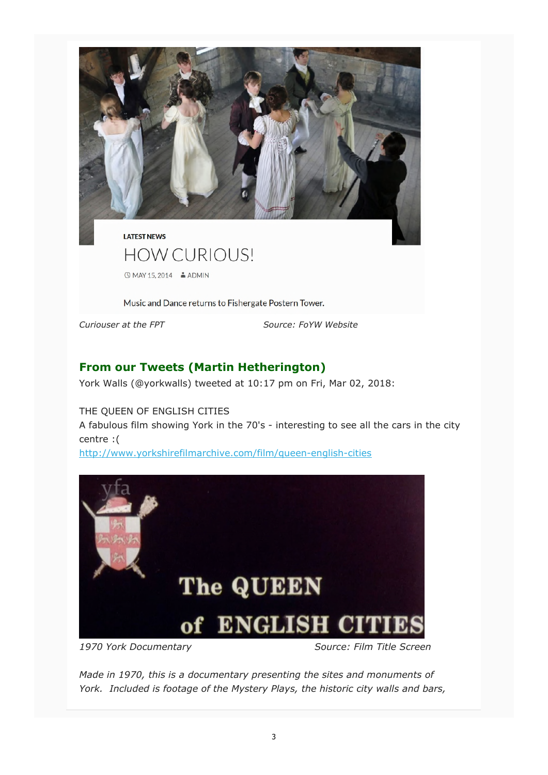

**HOW CURIOUS!** 

**O MAY 15, 2014 & ADMIN** 

Music and Dance returns to Fishergate Postern Tower.

**Curiouser at the FPT** Source: For Website

# **From our Tweets (Martin Hetherington)**

York Walls (@yorkwalls) tweeted at 10:17 pm on Fri, Mar 02, 2018:

THE QUEEN OF ENGLISH CITIES

A fabulous film showing York in the 70's - interesting to see all the cars in the city centre :(

http://www.yorkshirefilmarchive.com/film/queen-english-cities



*1970 York Documentary Source: Film Title Screen*

*Made in 1970, this is a documentary presenting the sites and monuments of York. Included is footage of the Mystery Plays, the historic city walls and bars,*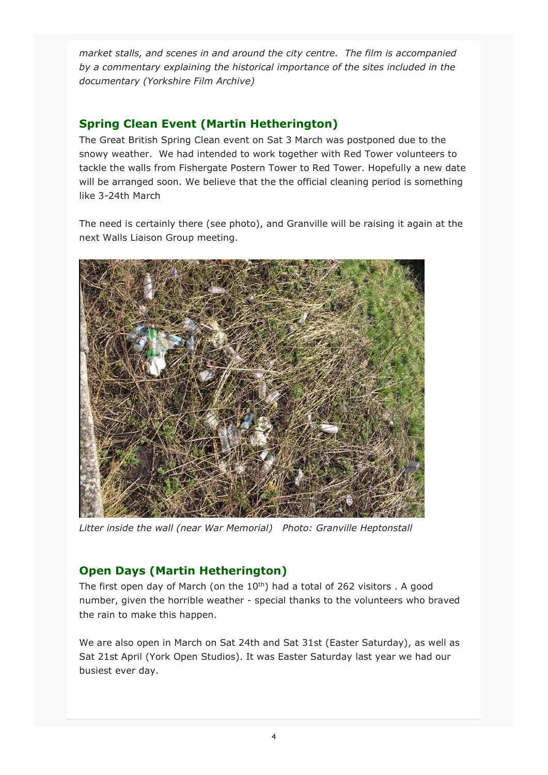*market stalls, and scenes in and around the city centre. The film is accompanied by a commentary explaining the historical importance of the sites included in the documentary (Yorkshire Film Archive)* 

# **Spring Clean Event (Martin Hetherington)**

The Great British Spring Clean event on Sat 3 March was postponed due to the snowy weather. We had intended to work together with Red Tower volunteers to tackle the walls from Fishergate Postern Tower to Red Tower. Hopefully a new date will be arranged soon. We believe that the the official cleaning period is something like 3-24th March

The need is certainly there (see photo), and Granville will be raising it again at the next Walls Liaison Group meeting.



*Litter inside the wall (near War Memorial) Photo: Granville Heptonstall*

## **Open Days (Martin Hetherington)**

The first open day of March (on the  $10<sup>th</sup>$ ) had a total of 262 visitors . A good number, given the horrible weather - special thanks to the volunteers who braved the rain to make this happen.

We are also open in March on Sat 24th and Sat 31st (Easter Saturday), as well as Sat 21st April (York Open Studios). It was Easter Saturday last year we had our busiest ever day.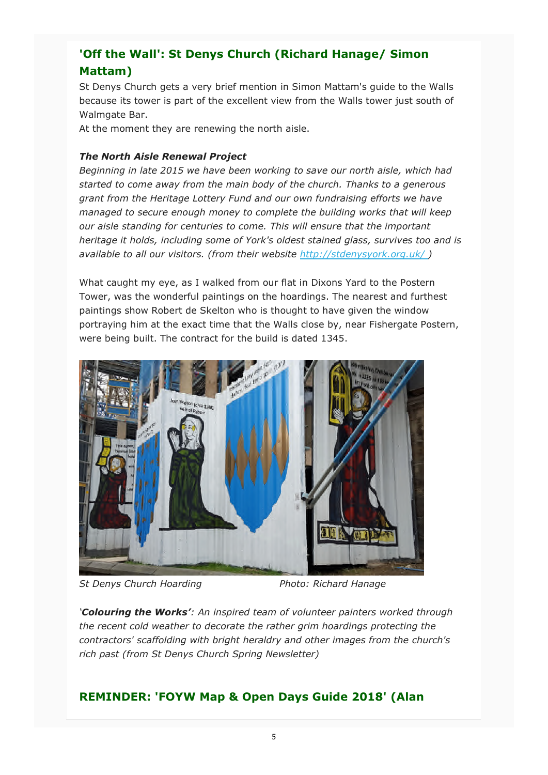# **'Off the Wall': St Denys Church (Richard Hanage/ Simon Mattam)**

St Denys Church gets a very brief mention in Simon Mattam's guide to the Walls because its tower is part of the excellent view from the Walls tower just south of Walmgate Bar.

At the moment they are renewing the north aisle.

#### *The North Aisle Renewal Project*

*Beginning in late 2015 we have been working to save our north aisle, which had started to come away from the main body of the church. Thanks to a generous grant from the Heritage Lottery Fund and our own fundraising efforts we have managed to secure enough money to complete the building works that will keep our aisle standing for centuries to come. This will ensure that the important heritage it holds, including some of York's oldest stained glass, survives too and is available to all our visitors. (from their website http://stdenysyork.org.uk/ )*

What caught my eye, as I walked from our flat in Dixons Yard to the Postern Tower, was the wonderful paintings on the hoardings. The nearest and furthest paintings show Robert de Skelton who is thought to have given the window portraying him at the exact time that the Walls close by, near Fishergate Postern, were being built. The contract for the build is dated 1345.



**St Denys Church Hoarding The Church Photo: Richard Hanage** 

*'Colouring the Works': An inspired team of volunteer painters worked through the recent cold weather to decorate the rather grim hoardings protecting the contractors' scaffolding with bright heraldry and other images from the church's rich past (from St Denys Church Spring Newsletter)*

## **REMINDER: 'FOYW Map & Open Days Guide 2018' (Alan**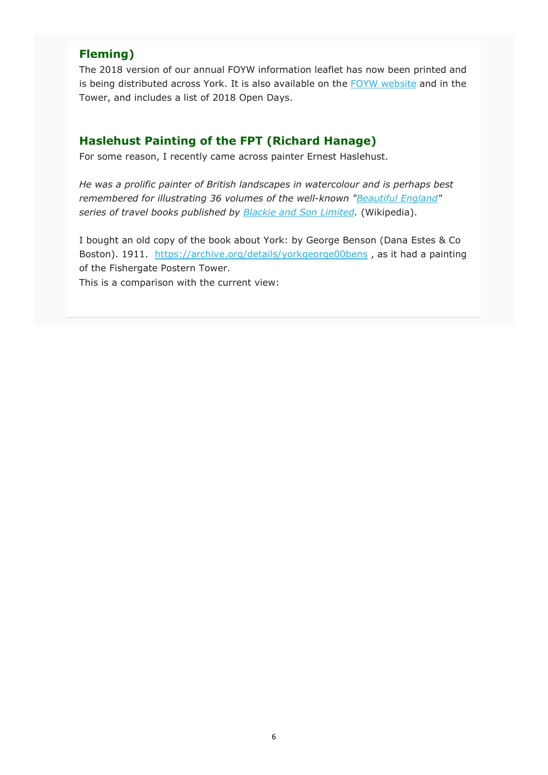### **Fleming)**

The 2018 version of our annual FOYW information leaflet has now been printed and is being distributed across York. It is also available on the FOYW website and in the Tower, and includes a list of 2018 Open Days.

### **Haslehust Painting of the FPT (Richard Hanage)**

For some reason, I recently came across painter Ernest Haslehust.

*He was a prolific painter of British landscapes in watercolour and is perhaps best remembered for illustrating 36 volumes of the well-known "Beautiful England"*  series of travel books published by **Blackie and Son Limited.** (Wikipedia).

I bought an old copy of the book about York: by George Benson (Dana Estes & Co Boston). 1911. https://archive.org/details/yorkgeorge00bens, as it had a painting of the Fishergate Postern Tower.

This is a comparison with the current view: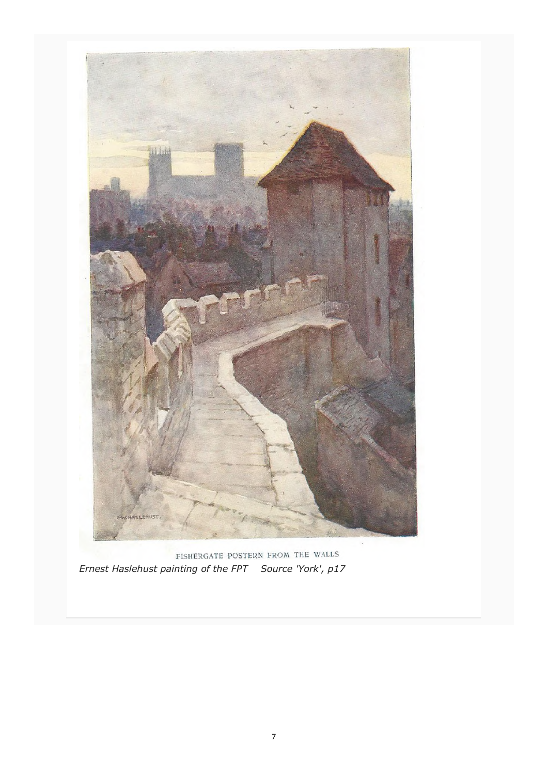

FISHERGATE POSTERN FROM THE WALLS *Ernest Haslehust painting of the FPT Source 'York', p17*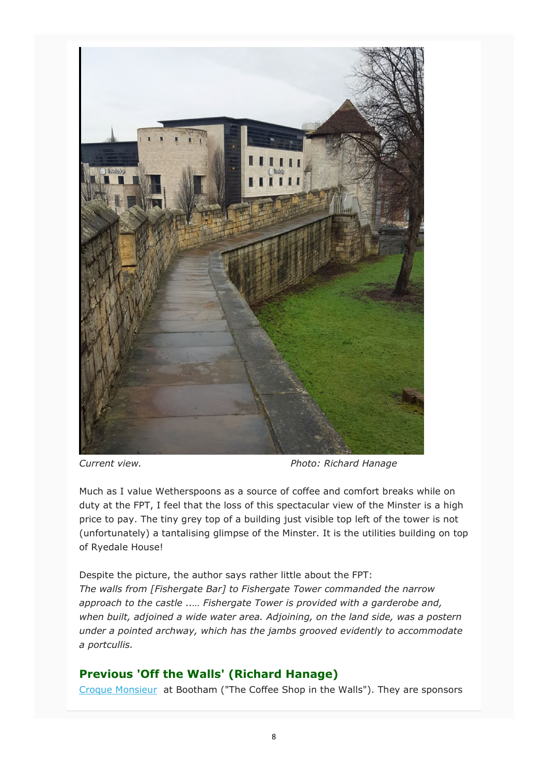

*Current view. Photo: Richard Hanage*

Much as I value Wetherspoons as a source of coffee and comfort breaks while on duty at the FPT, I feel that the loss of this spectacular view of the Minster is a high price to pay. The tiny grey top of a building just visible top left of the tower is not (unfortunately) a tantalising glimpse of the Minster. It is the utilities building on top of Ryedale House!

Despite the picture, the author says rather little about the FPT: *The walls from [Fishergate Bar] to Fishergate Tower commanded the narrow approach to the castle ..… Fishergate Tower is provided with a garderobe and, when built, adjoined a wide water area. Adjoining, on the land side, was a postern under a pointed archway, which has the jambs grooved evidently to accommodate a portcullis.*

## **Previous 'Off the Walls' (Richard Hanage)**

Croque Monsieur at Bootham ("The Coffee Shop in the Walls"). They are sponsors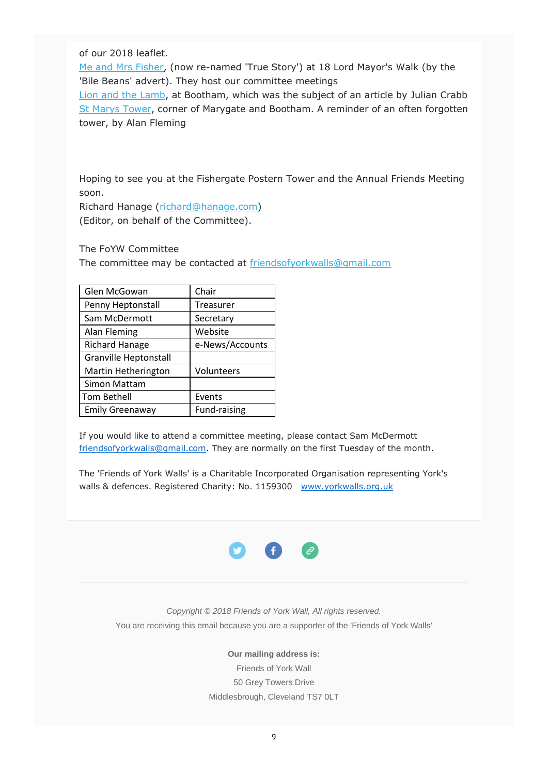of our 2018 leaflet.

Me and Mrs Fisher, (now re-named 'True Story') at 18 Lord Mayor's Walk (by the 'Bile Beans' advert). They host our committee meetings

Lion and the Lamb, at Bootham, which was the subject of an article by Julian Crabb St Marys Tower, corner of Marygate and Bootham. A reminder of an often forgotten tower, by Alan Fleming

Hoping to see you at the Fishergate Postern Tower and the Annual Friends Meeting soon.

Richard Hanage (richard@hanage.com) (Editor, on behalf of the Committee).

The FoYW Committee

The committee may be contacted at friendsofyorkwalls@gmail.com

| Glen McGowan           | Chair           |
|------------------------|-----------------|
| Penny Heptonstall      | Treasurer       |
| Sam McDermott          | Secretary       |
| Alan Fleming           | Website         |
| <b>Richard Hanage</b>  | e-News/Accounts |
| Granville Heptonstall  |                 |
| Martin Hetherington    | Volunteers      |
| Simon Mattam           |                 |
| <b>Tom Bethell</b>     | Events          |
| <b>Emily Greenaway</b> | Fund-raising    |

If you would like to attend a committee meeting, please contact Sam McDermott friendsofyorkwalls@gmail.com. They are normally on the first Tuesday of the month.

The 'Friends of York Walls' is a Charitable Incorporated Organisation representing York's walls & defences. Registered Charity: No. 1159300 www.yorkwalls.org.uk



*Copyright © 2018 Friends of York Wall, All rights reserved.* You are receiving this email because you are a supporter of the 'Friends of York Walls'

#### **Our mailing address is:**

Friends of York Wall 50 Grey Towers Drive Middlesbrough, Cleveland TS7 0LT